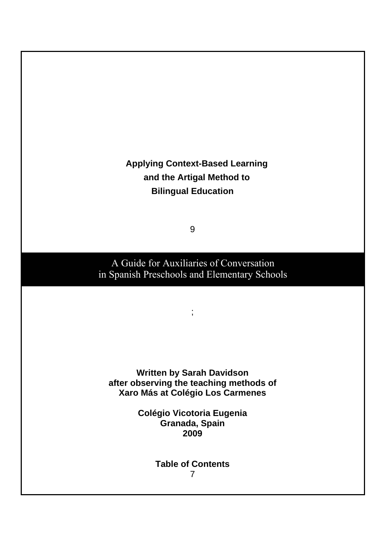# **Applying Context-Based Learning and the Artigal Method to Bilingual Education**

9

A Guide for Auxiliaries of Conversation in Spanish Preschools and Elementary Schools

;

**Written by Sarah Davidson after observing the teaching methods of Xaro Más at Colégio Los Carmenes** 

> **Colégio Vicotoria Eugenia Granada, Spain 2009**

> > **Table of Contents**  7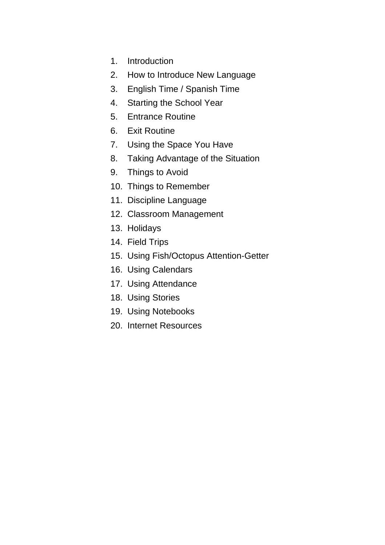- 1. Introduction
- 2. How to Introduce New Language
- 3. English Time / Spanish Time
- 4. Starting the School Year
- 5. Entrance Routine
- 6. Exit Routine
- 7. Using the Space You Have
- 8. Taking Advantage of the Situation
- 9. Things to Avoid
- 10. Things to Remember
- 11. Discipline Language
- 12. Classroom Management
- 13. Holidays
- 14. Field Trips
- 15. Using Fish/Octopus Attention-Getter
- 16. Using Calendars
- 17. Using Attendance
- 18. Using Stories
- 19. Using Notebooks
- 20. Internet Resources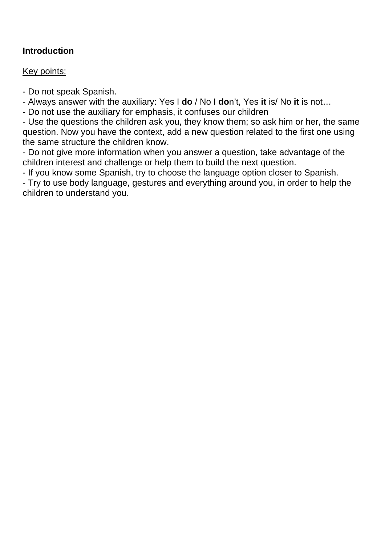## **Introduction**

#### Key points:

- Do not speak Spanish.

- Always answer with the auxiliary: Yes I **do** / No I **do**n't, Yes **it** is/ No **it** is not…

- Do not use the auxiliary for emphasis, it confuses our children

- Use the questions the children ask you, they know them; so ask him or her, the same question. Now you have the context, add a new question related to the first one using the same structure the children know.

- Do not give more information when you answer a question, take advantage of the children interest and challenge or help them to build the next question.

- If you know some Spanish, try to choose the language option closer to Spanish.

- Try to use body language, gestures and everything around you, in order to help the children to understand you.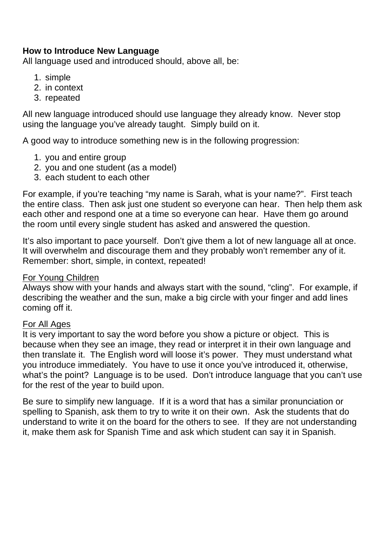### **How to Introduce New Language**

All language used and introduced should, above all, be:

- 1. simple
- 2. in context
- 3. repeated

All new language introduced should use language they already know. Never stop using the language you've already taught. Simply build on it.

A good way to introduce something new is in the following progression:

- 1. you and entire group
- 2. you and one student (as a model)
- 3. each student to each other

For example, if you're teaching "my name is Sarah, what is your name?". First teach the entire class. Then ask just one student so everyone can hear. Then help them ask each other and respond one at a time so everyone can hear. Have them go around the room until every single student has asked and answered the question.

It's also important to pace yourself. Don't give them a lot of new language all at once. It will overwhelm and discourage them and they probably won't remember any of it. Remember: short, simple, in context, repeated!

#### For Young Children

Always show with your hands and always start with the sound, "cling". For example, if describing the weather and the sun, make a big circle with your finger and add lines coming off it.

#### For All Ages

It is very important to say the word before you show a picture or object. This is because when they see an image, they read or interpret it in their own language and then translate it. The English word will loose it's power. They must understand what you introduce immediately. You have to use it once you've introduced it, otherwise, what's the point? Language is to be used. Don't introduce language that you can't use for the rest of the year to build upon.

Be sure to simplify new language. If it is a word that has a similar pronunciation or spelling to Spanish, ask them to try to write it on their own. Ask the students that do understand to write it on the board for the others to see. If they are not understanding it, make them ask for Spanish Time and ask which student can say it in Spanish.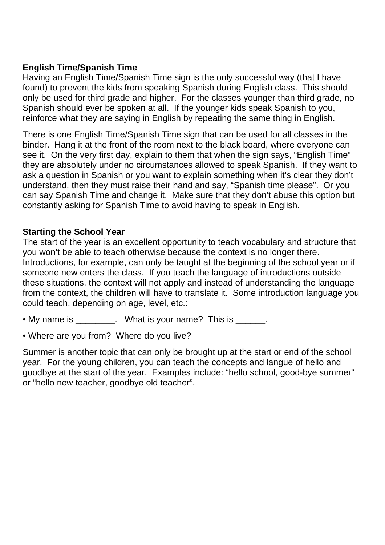## **English Time/Spanish Time**

Having an English Time/Spanish Time sign is the only successful way (that I have found) to prevent the kids from speaking Spanish during English class. This should only be used for third grade and higher. For the classes younger than third grade, no Spanish should ever be spoken at all. If the younger kids speak Spanish to you, reinforce what they are saying in English by repeating the same thing in English.

There is one English Time/Spanish Time sign that can be used for all classes in the binder. Hang it at the front of the room next to the black board, where everyone can see it. On the very first day, explain to them that when the sign says, "English Time" they are absolutely under no circumstances allowed to speak Spanish. If they want to ask a question in Spanish or you want to explain something when it's clear they don't understand, then they must raise their hand and say, "Spanish time please". Or you can say Spanish Time and change it. Make sure that they don't abuse this option but constantly asking for Spanish Time to avoid having to speak in English.

#### **Starting the School Year**

The start of the year is an excellent opportunity to teach vocabulary and structure that you won't be able to teach otherwise because the context is no longer there. Introductions, for example, can only be taught at the beginning of the school year or if someone new enters the class. If you teach the language of introductions outside these situations, the context will not apply and instead of understanding the language from the context, the children will have to translate it. Some introduction language you could teach, depending on age, level, etc.:

• My name is electronic what is your name? This is the My name is  $\blacksquare$ 

• Where are you from? Where do you live?

Summer is another topic that can only be brought up at the start or end of the school year. For the young children, you can teach the concepts and langue of hello and goodbye at the start of the year. Examples include: "hello school, good-bye summer" or "hello new teacher, goodbye old teacher".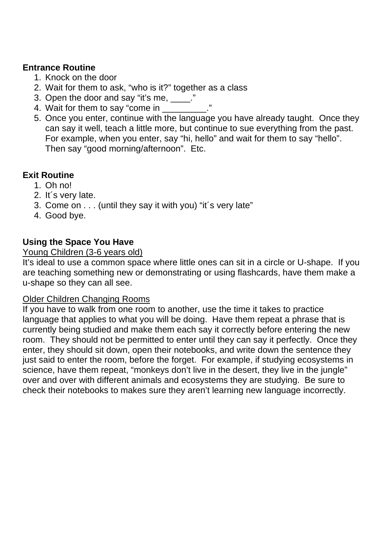### **Entrance Routine**

- 1. Knock on the door
- 2. Wait for them to ask, "who is it?" together as a class
- 3. Open the door and say "it's me, \_\_\_\_."
- 4. Wait for them to say "come in \_\_\_\_\_\_\_
- 5. Once you enter, continue with the language you have already taught. Once they can say it well, teach a little more, but continue to sue everything from the past. For example, when you enter, say "hi, hello" and wait for them to say "hello". Then say "good morning/afternoon". Etc.

### **Exit Routine**

- 1. Oh no!
- 2. It´s very late.
- 3. Come on . . . (until they say it with you) "it´s very late"
- 4. Good bye.

### **Using the Space You Have**

#### Young Children (3-6 years old)

It's ideal to use a common space where little ones can sit in a circle or U-shape. If you are teaching something new or demonstrating or using flashcards, have them make a u-shape so they can all see.

#### Older Children Changing Rooms

If you have to walk from one room to another, use the time it takes to practice language that applies to what you will be doing. Have them repeat a phrase that is currently being studied and make them each say it correctly before entering the new room. They should not be permitted to enter until they can say it perfectly. Once they enter, they should sit down, open their notebooks, and write down the sentence they just said to enter the room, before the forget. For example, if studying ecosystems in science, have them repeat, "monkeys don't live in the desert, they live in the jungle" over and over with different animals and ecosystems they are studying. Be sure to check their notebooks to makes sure they aren't learning new language incorrectly.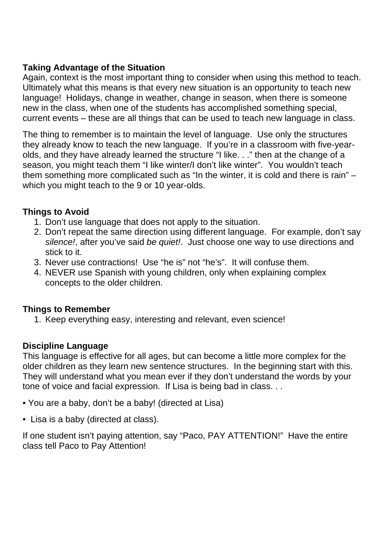## **Taking Advantage of the Situation**

Again, context is the most important thing to consider when using this method to teach. Ultimately what this means is that every new situation is an opportunity to teach new language! Holidays, change in weather, change in season, when there is someone new in the class, when one of the students has accomplished something special, current events – these are all things that can be used to teach new language in class.

The thing to remember is to maintain the level of language. Use only the structures they already know to teach the new language. If you're in a classroom with five-yearolds, and they have already learned the structure "I like. . ." then at the change of a season, you might teach them "I like winter/I don't like winter". You wouldn't teach them something more complicated such as "In the winter, it is cold and there is rain" – which you might teach to the 9 or 10 year-olds.

## **Things to Avoid**

- 1. Don't use language that does not apply to the situation.
- 2. Don't repeat the same direction using different language. For example, don't say silence!, after you've said be quiet!. Just choose one way to use directions and stick to it.
- 3. Never use contractions! Use "he is" not "he's". It will confuse them.
- 4. NEVER use Spanish with young children, only when explaining complex concepts to the older children.

### **Things to Remember**

1. Keep everything easy, interesting and relevant, even science!

### **Discipline Language**

This language is effective for all ages, but can become a little more complex for the older children as they learn new sentence structures. In the beginning start with this. They will understand what you mean ever if they don't understand the words by your tone of voice and facial expression. If Lisa is being bad in class. . .

- You are a baby, don't be a baby! (directed at Lisa)
- Lisa is a baby (directed at class).

If one student isn't paying attention, say "Paco, PAY ATTENTION!" Have the entire class tell Paco to Pay Attention!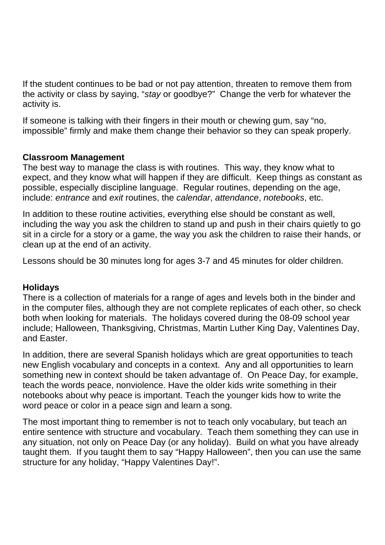If the student continues to be bad or not pay attention, threaten to remove them from the activity or class by saying, "stay or goodbye?" Change the verb for whatever the activity is.

If someone is talking with their fingers in their mouth or chewing gum, say "no, impossible" firmly and make them change their behavior so they can speak properly.

### **Classroom Management**

The best way to manage the class is with routines. This way, they know what to expect, and they know what will happen if they are difficult. Keep things as constant as possible, especially discipline language. Regular routines, depending on the age, include: entrance and exit routines, the calendar, attendance, notebooks, etc.

In addition to these routine activities, everything else should be constant as well, including the way you ask the children to stand up and push in their chairs quietly to go sit in a circle for a story or a game, the way you ask the children to raise their hands, or clean up at the end of an activity.

Lessons should be 30 minutes long for ages 3-7 and 45 minutes for older children.

### **Holidays**

There is a collection of materials for a range of ages and levels both in the binder and in the computer files, although they are not complete replicates of each other, so check both when looking for materials. The holidays covered during the 08-09 school year include; Halloween, Thanksgiving, Christmas, Martin Luther King Day, Valentines Day, and Easter.

In addition, there are several Spanish holidays which are great opportunities to teach new English vocabulary and concepts in a context. Any and all opportunities to learn something new in context should be taken advantage of. On Peace Day, for example, teach the words peace, nonviolence. Have the older kids write something in their notebooks about why peace is important. Teach the younger kids how to write the word peace or color in a peace sign and learn a song.

The most important thing to remember is not to teach only vocabulary, but teach an entire sentence with structure and vocabulary. Teach them something they can use in any situation, not only on Peace Day (or any holiday). Build on what you have already taught them. If you taught them to say "Happy Halloween", then you can use the same structure for any holiday, "Happy Valentines Day!".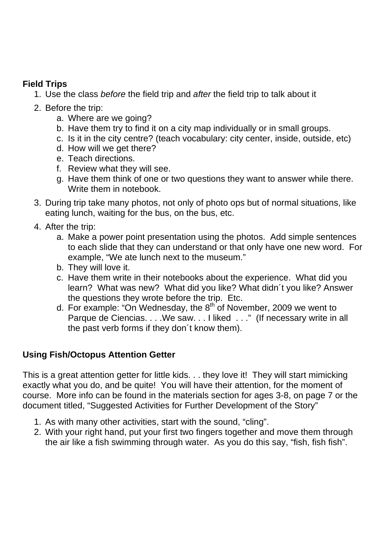## **Field Trips**

- 1. Use the class before the field trip and after the field trip to talk about it
- 2. Before the trip:
	- a. Where are we going?
	- b. Have them try to find it on a city map individually or in small groups.
	- c. Is it in the city centre? (teach vocabulary: city center, inside, outside, etc)
	- d. How will we get there?
	- e. Teach directions.
	- f. Review what they will see.
	- g. Have them think of one or two questions they want to answer while there. Write them in notebook.
- 3. During trip take many photos, not only of photo ops but of normal situations, like eating lunch, waiting for the bus, on the bus, etc.
- 4. After the trip:
	- a. Make a power point presentation using the photos. Add simple sentences to each slide that they can understand or that only have one new word. For example, "We ate lunch next to the museum."
	- b. They will love it.
	- c. Have them write in their notebooks about the experience. What did you learn? What was new? What did you like? What didn´t you like? Answer the questions they wrote before the trip. Etc.
	- d. For example: "On Wednesday, the  $8<sup>th</sup>$  of November, 2009 we went to Parque de Ciencias. . . . We saw. . . I liked . . ." (If necessary write in all the past verb forms if they don´t know them).

## **Using Fish/Octopus Attention Getter**

This is a great attention getter for little kids. . . they love it! They will start mimicking exactly what you do, and be quite! You will have their attention, for the moment of course. More info can be found in the materials section for ages 3-8, on page 7 or the document titled, "Suggested Activities for Further Development of the Story"

- 1. As with many other activities, start with the sound, "cling".
- 2. With your right hand, put your first two fingers together and move them through the air like a fish swimming through water. As you do this say, "fish, fish fish".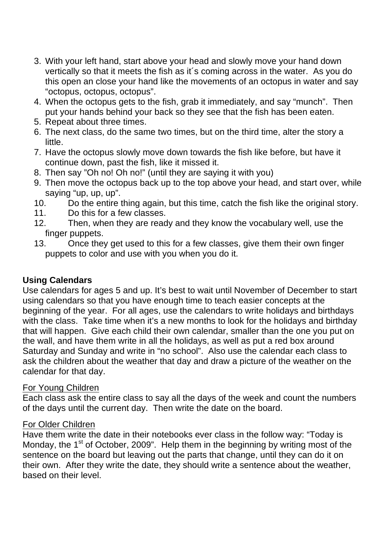- 3. With your left hand, start above your head and slowly move your hand down vertically so that it meets the fish as it´s coming across in the water. As you do this open an close your hand like the movements of an octopus in water and say "octopus, octopus, octopus".
- 4. When the octopus gets to the fish, grab it immediately, and say "munch". Then put your hands behind your back so they see that the fish has been eaten.
- 5. Repeat about three times.
- 6. The next class, do the same two times, but on the third time, alter the story a little.
- 7. Have the octopus slowly move down towards the fish like before, but have it continue down, past the fish, like it missed it.
- 8. Then say "Oh no! Oh no!" (until they are saying it with you)
- 9. Then move the octopus back up to the top above your head, and start over, while saying "up, up, up".
- 10. Do the entire thing again, but this time, catch the fish like the original story.
- 11. Do this for a few classes.
- 12. Then, when they are ready and they know the vocabulary well, use the finger puppets.
- 13. Once they get used to this for a few classes, give them their own finger puppets to color and use with you when you do it.

### **Using Calendars**

Use calendars for ages 5 and up. It's best to wait until November of December to start using calendars so that you have enough time to teach easier concepts at the beginning of the year. For all ages, use the calendars to write holidays and birthdays with the class. Take time when it's a new months to look for the holidays and birthday that will happen. Give each child their own calendar, smaller than the one you put on the wall, and have them write in all the holidays, as well as put a red box around Saturday and Sunday and write in "no school". Also use the calendar each class to ask the children about the weather that day and draw a picture of the weather on the calendar for that day.

#### For Young Children

Each class ask the entire class to say all the days of the week and count the numbers of the days until the current day. Then write the date on the board.

#### For Older Children

Have them write the date in their notebooks ever class in the follow way: "Today is Monday, the  $1<sup>st</sup>$  of October, 2009". Help them in the beginning by writing most of the sentence on the board but leaving out the parts that change, until they can do it on their own. After they write the date, they should write a sentence about the weather, based on their level.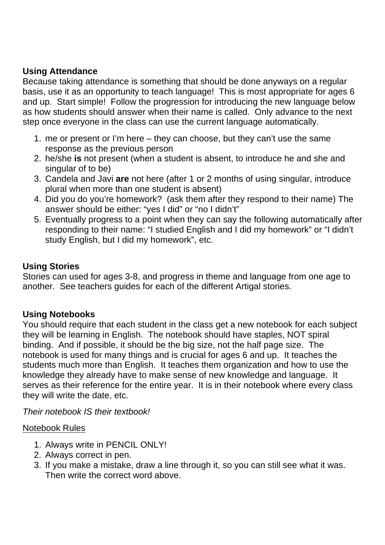### **Using Attendance**

Because taking attendance is something that should be done anyways on a regular basis, use it as an opportunity to teach language! This is most appropriate for ages 6 and up. Start simple! Follow the progression for introducing the new language below as how students should answer when their name is called. Only advance to the next step once everyone in the class can use the current language automatically.

- 1. me or present or I'm here they can choose, but they can't use the same response as the previous person
- 2. he/she **is** not present (when a student is absent, to introduce he and she and singular of to be)
- 3. Candela and Javi **are** not here (after 1 or 2 months of using singular, introduce plural when more than one student is absent)
- 4. Did you do you're homework? (ask them after they respond to their name) The answer should be either: "yes I did" or "no I didn't"
- 5. Eventually progress to a point when they can say the following automatically after responding to their name: "I studied English and I did my homework" or "I didn't study English, but I did my homework", etc.

## **Using Stories**

Stories can used for ages 3-8, and progress in theme and language from one age to another. See teachers guides for each of the different Artigal stories.

## **Using Notebooks**

You should require that each student in the class get a new notebook for each subject they will be learning in English. The notebook should have staples, NOT spiral binding. And if possible, it should be the big size, not the half page size. The notebook is used for many things and is crucial for ages 6 and up. It teaches the students much more than English. It teaches them organization and how to use the knowledge they already have to make sense of new knowledge and language. It serves as their reference for the entire year. It is in their notebook where every class they will write the date, etc.

Their notebook IS their textbook!

### Notebook Rules

- 1. Always write in PENCIL ONLY!
- 2. Always correct in pen.
- 3. If you make a mistake, draw a line through it, so you can still see what it was. Then write the correct word above.